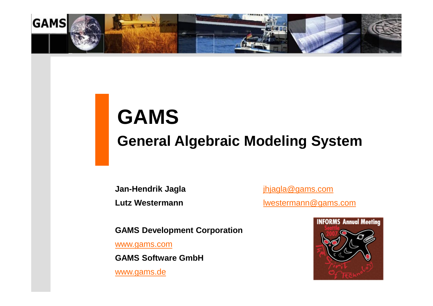

# **GAMS General Algebraic Modeling System**

**Jan-Hendrik Jagla** [jhjagla@gams.com](mailto:jhjagla@gams.com) **Lutz Westermann [lwestermann@gams.com](mailto:lwestermann@gams.com)** 

**GAMS Development Corporation** 

[www.gams.com](http://www.gams.com)

**GAMS Software GmbH**

[www.gams.de](http://www.gams.de)

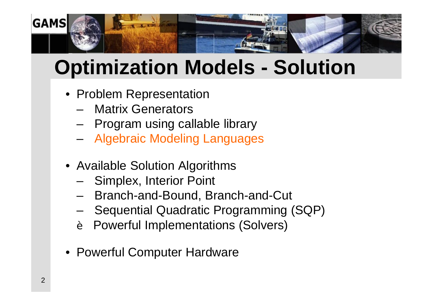

# **Optimization Models - Solution**

- Problem Representation
	- Matrix Generators
	- Program using callable library
	- Algebraic Modeling Languages
- Available Solution Algorithms
	- Simplex, Interior Point
	- Branch-and-Bound, Branch-and-Cut
	- Sequential Quadratic Programming (SQP)
	- Powerful Implementations (Solvers) è
- Powerful Computer Hardware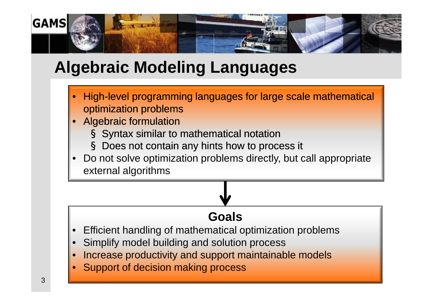

## **Algebraic Modeling Languages**

- High-level programming languages for large scale mathematical optimization problems
- Algebraic formulation
	- Syntax similar to mathematical notation
	- § Does not contain any hints how to process it
- Do not solve optimization problems directly, but call appropriate external algorithms Syntax similar to mathematical notation<br>
S Does not contain any hints how to process it<br>• Do not solve optimization problems directly, but call appropriate<br>
external algorithms

#### **Goals**

- Efficient handling of mathematical optimization problems
- Simplify model building and solution process
- Increase productivity and support maintainable models
- Support of decision making process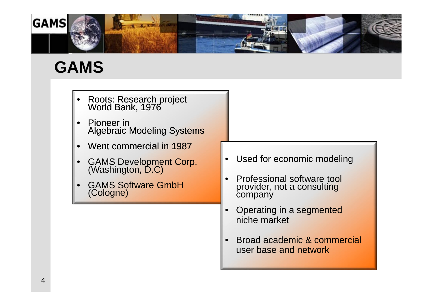

## **GAMS**

- Roots: Research project World Bank, 1976
- Pioneer in Algebraic Modeling Systems
- Went commercial in 1987
- GAMS Development Corp. (Washington, D.C)
- GAMS Software GmbH (Cologne)
- Used for economic modeling
- Professional software tool provider, not a consulting company
- Operating in a segmented niche market
- Broad academic & commercial user base and network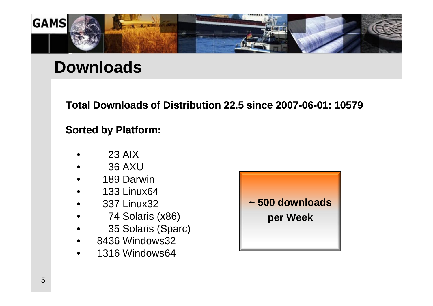

#### **Downloads**

**Total Downloads of Distribution 22.5 since 2007-06-01: 10579 Downloads of** 

#### **Sorted by Platform:**

- 23 AIX
- 36 AXU
- 189 Darwin
- 133 Linux64
- 337 Linux32
- 74 Solaris (x86)
- 35 Solaris (Sparc)
- 8436 Windows32
- 1316 Windows64

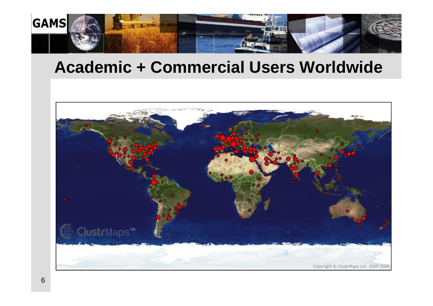

#### **Academic + Commercial Users Worldwide**

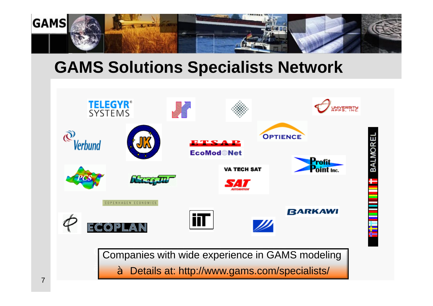

#### **GAMS Solutions Specialists Network**

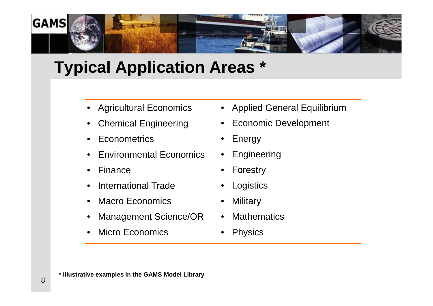

## **Typical Application Areas \***

- Agricultural Economics
- Chemical Engineering
- Econometrics
- Environmental Economics
- Finance
- International Trade
- Macro Economics
- Management Science/OR
- **Micro Economics**
- Applied General Equilibrium
- Economic Development
- **Energy**
- Engineering
- **Forestry**
- **Logistics**
- **Military**
- **Mathematics**
- Physics

**\* Illustrative examples in the GAMS Model Library**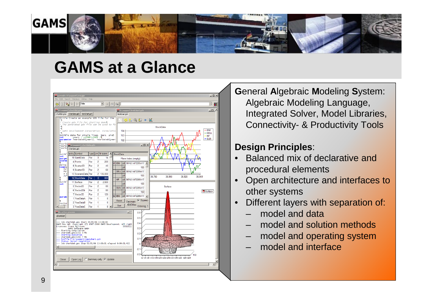

#### **GAMS at a Glance**



**G**eneral **A**lgebraic **M**odeling **S**ystem: Algebraic Modeling Language, Integrated Solver, Model Libraries, Connectivity- & Productivity Tools

#### **Design Principles**:

- Balanced mix of declarative and procedural elements
- Open architecture and interfaces to other systems
- Different layers with separation of:
	- model and data
	- model and solution methods
	- model and operating system
	- model and interface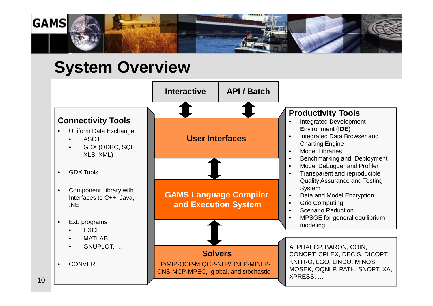

#### **System Overview**

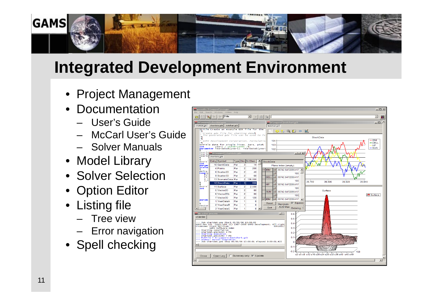

## **Integrated Development Environment**

- Project Management
- Documentation
	- User's Guide
	- McCarl User's Guide
	- Solver Manuals
- Model Library
- Solver Selection
- Option Editor
- Listing file
	- Tree view
	- Error navigation
- Spell checking

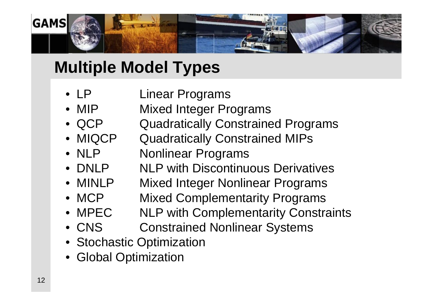

## **Multiple Model Types**

- LP Linear Programs
- MIP Mixed Integer Programs
- QCP Quadratically Constrained Programs
- MIQCP Quadratically Constrained MIPs
- NLP Nonlinear Programs
- DNLP NLP with Discontinuous Derivatives
- MINLP Mixed Integer Nonlinear Programs
- MCP Mixed Complementarity Programs
- MPEC NLP with Complementarity Constraints
- CNS Constrained Nonlinear Systems
- Stochastic Optimization
- Global Optimization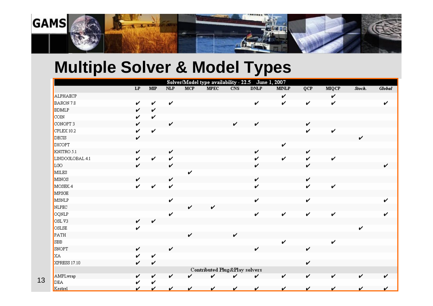

### **Multiple Solver & Model Types**

|                              |    |                        |     |            | Solver/Model type availability - 22.5 |     |             | June 1, 2007 |              |              |        |        |
|------------------------------|----|------------------------|-----|------------|---------------------------------------|-----|-------------|--------------|--------------|--------------|--------|--------|
|                              | LP | $\overline{\text{MP}}$ | NLP | <b>MCP</b> | <b>MPEC</b>                           | CNS | <b>DNLP</b> | <b>MINLP</b> | QCP          | <b>MIQCP</b> | Stock. | Global |
| ALPHAECP                     |    |                        |     |            |                                       |     |             | V            |              | V            |        |        |
| BARON 7.8                    | v  | V                      | V   |            |                                       |     | v           | v            | V            | v            |        | v      |
| <b>BDMLP</b>                 | ✓  | v                      |     |            |                                       |     |             |              |              |              |        |        |
| <b>COIN</b>                  | ✓  | V                      |     |            |                                       |     |             |              |              |              |        |        |
| CONOPT 3                     | ✓  |                        | v   |            |                                       | v   | V           |              | V            |              |        |        |
| $\mathsf{CPLEX}\,10.2$       | ✓  | V                      |     |            |                                       |     |             |              | v            | V            |        |        |
| DECIS                        | ✓  |                        |     |            |                                       |     |             |              |              |              | v      |        |
| DICOPT                       |    |                        |     |            |                                       |     |             | v            |              |              |        |        |
| KNITRO 5.1                   | v  |                        | v   |            |                                       |     | V           |              | $\mathbf{v}$ |              |        |        |
| LINDOGLOBAL 4.1              | ✓  | v                      | V   |            |                                       |     | V           | V            | v            | V            |        |        |
| LGO                          | ✓  |                        | V   |            |                                       |     | V           |              | V            |              |        | ✓      |
| MILES                        |    |                        |     | ✓          |                                       |     |             |              |              |              |        |        |
| MINOS                        | ✓  |                        | V   |            |                                       |     | V           |              | V            |              |        |        |
| MOSEK 4                      | ✓  | V                      | v   |            |                                       |     | V           |              | V            | V            |        |        |
| MPSGE                        |    |                        |     |            |                                       |     |             |              |              |              |        |        |
| MSNLP                        |    |                        | V   |            |                                       |     | v           |              | V            |              |        |        |
| NLPEC                        |    |                        |     | v          | V                                     |     |             |              |              |              |        |        |
| OQNLP                        |    |                        | v   |            |                                       |     | v           | V            | V            | V            |        |        |
| OSLV3                        | V  | V                      |     |            |                                       |     |             |              |              |              |        |        |
| OSLSE                        | v  |                        |     |            |                                       |     |             |              |              |              | v      |        |
| PATH                         |    |                        |     | ✓          |                                       | ✓   |             |              |              |              |        |        |
| $\overline{\phantom{a}}$ SBB |    |                        |     |            |                                       |     |             | v            |              | v            |        |        |
| SNOPT                        | v  |                        | v   |            |                                       |     | v           |              | $\checkmark$ |              |        |        |
| <b>XA</b>                    |    | v                      |     |            |                                       |     |             |              |              |              |        |        |
| XPRESS 17.10                 | ✓  | v                      |     |            |                                       |     |             |              | v            |              |        |        |
|                              |    |                        |     |            | Contributed Plug&Play solvers         |     |             |              |              |              |        |        |
| AMPLwrap                     | ✓  | v                      | ✓   |            | ✓                                     | ✓   | V           | v            | v            | v            | v      | ✔      |
| DEA                          |    | v                      |     |            |                                       |     |             |              |              |              |        |        |
| Kestrel                      |    | V                      | v   | v          | v                                     | v   | v           | v            | V            | v            | v      |        |

13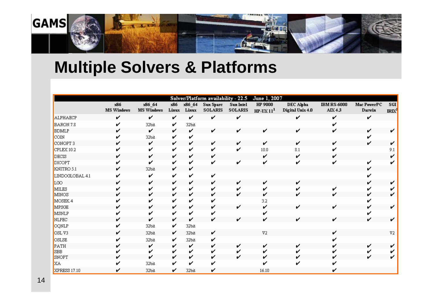

## **Multiple Solvers & Platforms**

|                 |                   |                   |       |        | Solver/Platform availability - 22.5 |                  | June 1, 2007   |                  |                    |              |                   |
|-----------------|-------------------|-------------------|-------|--------|-------------------------------------|------------------|----------------|------------------|--------------------|--------------|-------------------|
|                 | x86               | x86_64            | x86   | x86 64 | Sun Spare                           | <b>Sun Intel</b> | HP 9000        | DEC Alpha        | <b>IBM RS-6000</b> | Mac PowerPC  | ${\bf S}$ GI      |
|                 | <b>MS Windows</b> | <b>MS Windows</b> | Linux | Linux  | <b>SOLARIS</b>                      | <b>SOLARIS</b>   | $HP-UX111$     | Digital Unix 4.0 | AIX 4.3            | Darwin       | IRIX <sup>2</sup> |
| ALPHAECP        | v                 | ✓                 | V     | V      | V                                   | V                |                | v                | ✓                  | v            |                   |
| BARON 7.8       |                   | 32bit             | v     | 32bit  |                                     |                  |                |                  |                    |              |                   |
| <b>BDMLP</b>    |                   | v                 | v     | v      | v                                   | v                |                |                  |                    | v            |                   |
| COIN            |                   | 32bit             | v     | v      |                                     |                  |                |                  |                    |              |                   |
| CONOPT 3        |                   | v                 | v     | v      | v                                   | v                | v              |                  | v                  | v            |                   |
| CPLEX 10.2      |                   | ✔                 | ✓     | v      | ✔                                   | ✓                | 10.0           | 8.1              |                    |              |                   |
| DECIS           | v                 | v                 | v     | v      | v                                   |                  | v              | v                |                    |              |                   |
| <b>DICOPT</b>   |                   | ✔                 | v     | ✔      | ✔                                   | ✔                | ✓              |                  |                    | v            |                   |
| KNITRO 5.1      |                   | 32bit             | v     | ✓      |                                     |                  |                |                  |                    | v            |                   |
| LINDOGLOBAL 4.1 |                   | ✓                 | v     | v      | v                                   |                  |                |                  |                    |              |                   |
| LGO.            | v                 | v                 | v     | v      | v                                   | v                | v              |                  |                    | ✓            |                   |
| MILES           |                   |                   | v     | ✓      | v                                   |                  | v              |                  |                    | v            |                   |
| MINOS           |                   | v                 | v     | ✓      | v                                   | ✓                | ✓              |                  |                    | ✓            |                   |
| MOSEK 4         |                   |                   | ✓     | v      |                                     |                  | 3.2            |                  |                    |              |                   |
| MPSGE           |                   | v                 | v     | v      | v                                   | ✓                | v              | ✔                | ✔                  |              |                   |
| MSNLP           |                   |                   | v     | v      |                                     |                  |                |                  |                    |              |                   |
| <b>NLPEC</b>    |                   | v                 | v     | v      | ✓                                   | ✓                | v              | v                | v                  | $\checkmark$ |                   |
| OQNLP           |                   | 32bit             | v     | 32bit  |                                     |                  |                |                  |                    |              |                   |
| OSLV3           |                   | 32bit             | v     | 32bit  | v                                   |                  | V <sub>2</sub> |                  | v                  |              | V2                |
| OSLSE           |                   | 32bit             | v     | 32bit  | v                                   |                  |                |                  |                    |              |                   |
| PATH            |                   | v                 | v     | v      | v                                   |                  | ✓              |                  |                    | v            |                   |
| <b>SBB</b>      |                   | ↙                 | v     | v      | ✓                                   |                  |                |                  |                    |              |                   |
| SNOPT           |                   | ✓                 | v     | v      | v                                   | ✓                | v              |                  |                    | v            |                   |
| <b>XA</b>       |                   | 32bit             | v     | v      |                                     |                  |                |                  |                    |              |                   |
| XPRESS 17.10    |                   | 32bit             | v     | 32bit  | v                                   |                  | 16.10          |                  |                    |              |                   |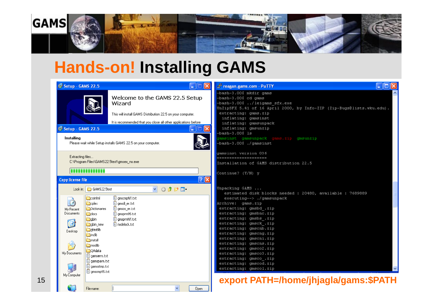

### **Hands-on! Installing GAMS**

| is Setup - GAMS 22.5                                                                                                                                                                                                                                                                               |                                                                                                                                                                          | <b>F</b> reagan.gams.com - PuTTY                                                                                                                                                                                                                                                                                                                                                                                                                           |  |
|----------------------------------------------------------------------------------------------------------------------------------------------------------------------------------------------------------------------------------------------------------------------------------------------------|--------------------------------------------------------------------------------------------------------------------------------------------------------------------------|------------------------------------------------------------------------------------------------------------------------------------------------------------------------------------------------------------------------------------------------------------------------------------------------------------------------------------------------------------------------------------------------------------------------------------------------------------|--|
|                                                                                                                                                                                                                                                                                                    | Welcome to the GAMS 22.5 Setup<br>Wizard<br>This will install GAMS Distribution 22.5 on your computer.<br>It is recommended that you close all other applications before | -bash-3.00\$ mkdir gams<br>-bash-3.00\$ cd gams<br>-bash-3.00\$ /leigams sfx.exe<br>UnZipSFX 5.41 of 16 April 2000, by Info-ZIP (Zip-Bugs@lists.wku.edu).<br>extracting: gams.zip<br>inflating: gamsinst<br>inflating: gamsunpack                                                                                                                                                                                                                          |  |
| <b>is Setup - GAMS 22.5</b><br>Installing                                                                                                                                                                                                                                                          | œ.<br>Please wait while Setup installs GAMS 22.5 on your computer.                                                                                                       | inflating: gmsunzip<br>-bash-3.00\$ ls<br>yamsinst gamsunpack gams.zip gmsunzip<br>-bash-3.00\$ ./gamsinst                                                                                                                                                                                                                                                                                                                                                 |  |
| Extracting files<br>C:\Program Files\GAMS22.5test\gmsex_nx.exe<br><b>Antonio Bord</b>                                                                                                                                                                                                              |                                                                                                                                                                          | qamsinst version 036<br>--------------------<br>Installation of GAMS distribution 22.5                                                                                                                                                                                                                                                                                                                                                                     |  |
| <b>Copy license file</b><br>Look in: GAMS22.5test                                                                                                                                                                                                                                                  | $\boxed{?} \boxed{\times}$<br>$V$ 000                                                                                                                                    | Continue? $(Y/N)$ y<br>Unpacking GAMS                                                                                                                                                                                                                                                                                                                                                                                                                      |  |
| coinfml<br>G<br>colex<br><b>Dictionaries</b><br>My Recent<br>Documents<br><b>O</b> docs<br>abin<br>B<br>abin new<br>gtestlib<br>Desktop<br><b>inclib</b><br><b>install</b><br>modlib<br><b>QAdata</b><br>My Documents<br>I aamserrs,txt<br>■ gamsparm.txt<br>$\Box$ qamsstmp.txt<br>□ amscmp95.txt | gmscmpNT.txt<br>gmsdi_er.txt<br><b>同</b> gmsos_er.txt<br><b>D</b> qmsprm95.txt<br>gmsprmNT.txt<br>Dinodelock.txt                                                         | estimated disk blocks needed : 20480, available : 7689889<br>executing--> ./gamsunpack<br>Archive: gams.zip<br>extracting: gmsbd.zip<br>extracting: gmsbnc.zip<br>extracting: gmsbs .zip<br>extracting: gmsck.zip<br>extracting: gmscnb.zip<br>extracting: gmscng.zip<br>extracting: gmscni.zip<br>extracting: gmscns.zip<br>extracting: gmsco2.zip<br>extracting: gmsco3.zip<br>extracting: gmsco.zip<br>extracting: gmscod.zip<br>extracting: gmscol.zip |  |
| My Computer<br>15<br>File name:                                                                                                                                                                                                                                                                    | $\checkmark$<br>Open                                                                                                                                                     | export PATH=/home/jhjagla/gams:\$PATH                                                                                                                                                                                                                                                                                                                                                                                                                      |  |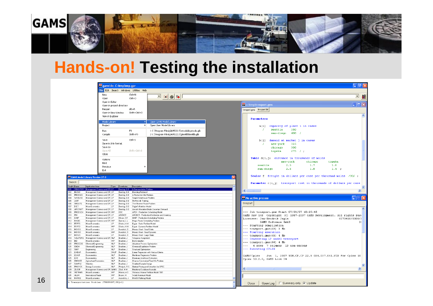

#### **Hands-on! Testing the installation**



16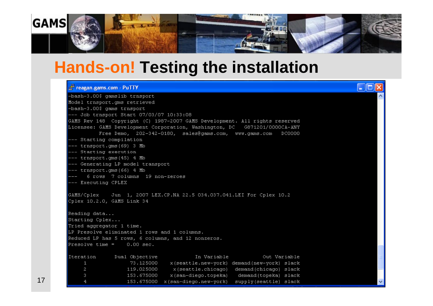

#### **Hands-on! Testing the installation**

#### $\Box$ o $x$ reagan.gams.com - PuTTY -bash-3.00\$ gamslib trnsport Model trnsport.cms retrieved -bash-3.00\$ gams trnsport --- Job trnsport Start 07/03/07 10:33:08 GAMS Rev 148 Copvright (C) 1987-2007 GAMS Development. All rights reserved Licensee: GAMS Development Corporation, Washington, DC G871201/0000CA-ANY Free Demo, 202-342-0180, sales@gams.com, www.gams.com DC0000 -- Starting compilation --- trnsport.gms(69) 3 Mb -- Starting execution -- trnsport.cms(45) 4 Mb -- Generating LP model transport --- trnsport.cms(66) 4 Mb 6 rows 7 columns 19 non-zeroes --- Executing CPLEX GAMS/Cplex Jun 1, 2007 LEX.CP.NA 22.5 034.037.041.LEI For Cplex 10.2 Cplex 10.2.0, GAMS Link 34 Reading data... Starting Cplex... Tried aggregator 1 time. LP Presolve eliminated 1 rows and 1 columns. Reduced LP has 5 rows, 6 columns, and 12 nonzeros.  $Presolve time =$  $0.00 \, \text{sec.}$ Iteration Dual Objective In Variable Out Variable 73.125000 x(seattle.new-york) demand(new-york) slack  $\mathbf{1}$  $\overline{a}$ 119.025000 x(seattle.chicago) demand(chicago) slack  $\mathbf{3}$ 153.675000 x(san-diego.topeka) demand(topeka) slack 153.675000 x(san-diego.new-york) supply(seattle) slack

17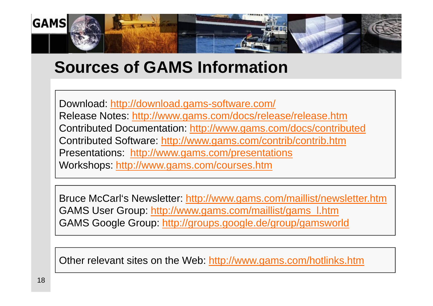

#### **Sources of GAMS Information**

Download: <http://download.gams-software.com/> Release Notes: <http://www.gams.com/docs/release/release.htm> Contributed Documentation:<http://www.gams.com/docs/contributed> Contributed Software:<http://www.gams.com/contrib/contrib.htm> Presentations: <http://www.gams.com/presentations> Workshops:<http://www.gams.com/courses.htm>

Bruce McCarl's Newsletter:<http://www.gams.com/maillist/newsletter.htm> GAMS User Group: [http://www.gams.com/maillist/gams\\_l.htm](http://www.gams.com/maillist/gams_l.htm) GAMS Google Group:<http://groups.google.de/group/gamsworld>

Other relevant sites on the Web:<http://www.gams.com/hotlinks.htm>